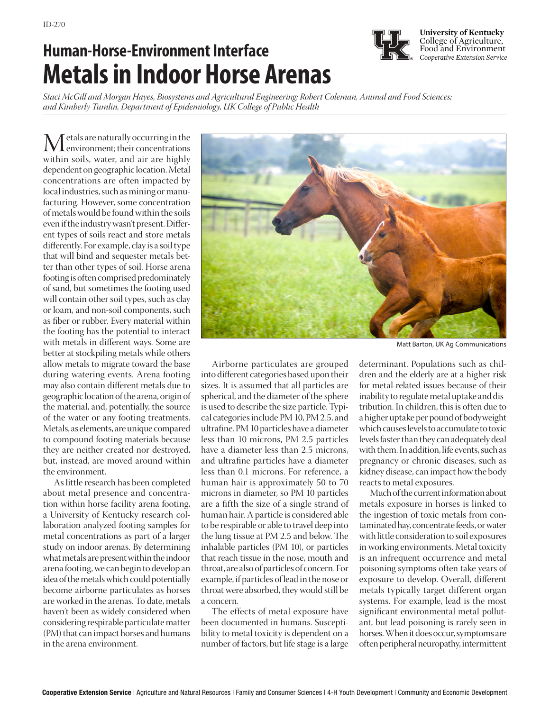## Human-Horse-Environment Interface *HK* Food and Environment **Metals in Indoor Horse Arenas**



**University of Kentucky** College of Agriculture,

*Staci McGill and Morgan Hayes, Biosystems and Agricultural Engineering; Robert Coleman, Animal and Food Sciences; and Kimberly Tumlin, Department of Epidemiology, UK College of Public Health*

Metals are naturally occurring in the<br>within soils, water, and air are highly within soils, water, and air are highly dependent on geographic location. Metal concentrations are often impacted by local industries, such as mining or manufacturing. However, some concentration of metals would be found within the soils even if the industry wasn't present. Different types of soils react and store metals differently. For example, clay is a soil type that will bind and sequester metals better than other types of soil. Horse arena footing is often comprised predominately of sand, but sometimes the footing used will contain other soil types, such as clay or loam, and non-soil components, such as fiber or rubber. Every material within the footing has the potential to interact with metals in different ways. Some are better at stockpiling metals while others allow metals to migrate toward the base during watering events. Arena footing may also contain different metals due to geographic location of the arena, origin of the material, and, potentially, the source of the water or any footing treatments. Metals, as elements, are unique compared to compound footing materials because they are neither created nor destroyed, but, instead, are moved around within the environment.

As little research has been completed about metal presence and concentration within horse facility arena footing, a University of Kentucky research collaboration analyzed footing samples for metal concentrations as part of a larger study on indoor arenas. By determining what metals are present within the indoor arena footing, we can begin to develop an idea of the metals which could potentially become airborne particulates as horses are worked in the arenas. To date, metals haven't been as widely considered when considering respirable particulate matter (PM) that can impact horses and humans in the arena environment.



Matt Barton, UK Ag Communications

Airborne particulates are grouped into different categories based upon their sizes. It is assumed that all particles are spherical, and the diameter of the sphere is used to describe the size particle. Typical categories include PM 10, PM 2.5, and ultrafine. PM 10 particles have a diameter less than 10 microns, PM 2.5 particles have a diameter less than 2.5 microns, and ultrafine particles have a diameter less than 0.1 microns. For reference, a human hair is approximately 50 to 70 microns in diameter, so PM 10 particles are a fifth the size of a single strand of human hair. A particle is considered able to be respirable or able to travel deep into the lung tissue at PM 2.5 and below. The inhalable particles (PM 10), or particles that reach tissue in the nose, mouth and throat, are also of particles of concern. For example, if particles of lead in the nose or throat were absorbed, they would still be a concern.

The effects of metal exposure have been documented in humans. Susceptibility to metal toxicity is dependent on a number of factors, but life stage is a large

determinant. Populations such as children and the elderly are at a higher risk for metal-related issues because of their inability to regulate metal uptake and distribution. In children, this is often due to a higher uptake per pound of bodyweight which causes levels to accumulate to toxic levels faster than they can adequately deal with them. In addition, life events, such as pregnancy or chronic diseases, such as kidney disease, can impact how the body reacts to metal exposures.

Much of the current information about metals exposure in horses is linked to the ingestion of toxic metals from contaminated hay, concentrate feeds, or water with little consideration to soil exposures in working environments. Metal toxicity is an infrequent occurrence and metal poisoning symptoms often take years of exposure to develop. Overall, different metals typically target different organ systems. For example, lead is the most significant environmental metal pollutant, but lead poisoning is rarely seen in horses. When it does occur, symptoms are often peripheral neuropathy, intermittent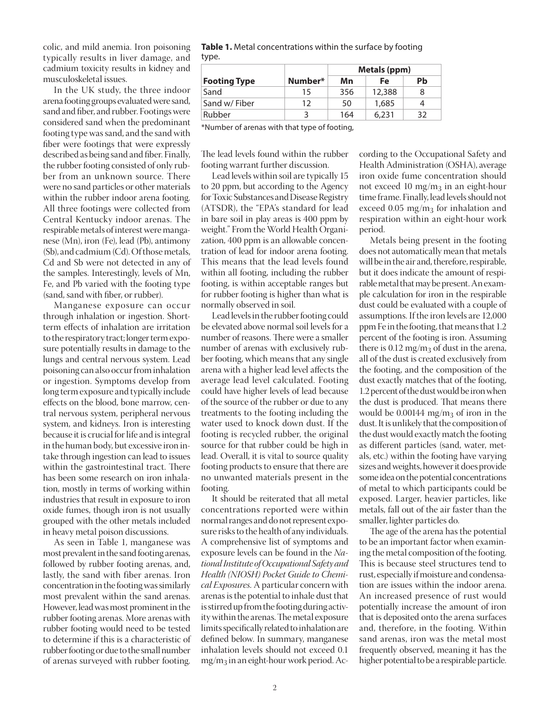colic, and mild anemia. Iron poisoning typically results in liver damage, and cadmium toxicity results in kidney and musculoskeletal issues.

In the UK study, the three indoor arena footing groups evaluated were sand, sand and fiber, and rubber. Footings were considered sand when the predominant footing type was sand, and the sand with fiber were footings that were expressly described as being sand and fiber. Finally, the rubber footing consisted of only rubber from an unknown source. There were no sand particles or other materials within the rubber indoor arena footing. All three footings were collected from Central Kentucky indoor arenas. The respirable metals of interest were manganese (Mn), iron (Fe), lead (Pb), antimony (Sb), and cadmium (Cd). Of those metals, Cd and Sb were not detected in any of the samples. Interestingly, levels of Mn, Fe, and Pb varied with the footing type (sand, sand with fiber, or rubber).

Manganese exposure can occur through inhalation or ingestion. Shortterm effects of inhalation are irritation to the respiratory tract; longer term exposure potentially results in damage to the lungs and central nervous system. Lead poisoning can also occur from inhalation or ingestion. Symptoms develop from long term exposure and typically include effects on the blood, bone marrow, central nervous system, peripheral nervous system, and kidneys. Iron is interesting because it is crucial for life and is integral in the human body, but excessive iron intake through ingestion can lead to issues within the gastrointestinal tract. There has been some research on iron inhalation, mostly in terms of working within industries that result in exposure to iron oxide fumes, though iron is not usually grouped with the other metals included in heavy metal poison discussions.

As seen in Table 1, manganese was most prevalent in the sand footing arenas, followed by rubber footing arenas, and, lastly, the sand with fiber arenas. Iron concentration in the footing was similarly most prevalent within the sand arenas. However, lead was most prominent in the rubber footing arenas. More arenas with rubber footing would need to be tested to determine if this is a characteristic of rubber footing or due to the small number of arenas surveyed with rubber footing.

| Table 1. Metal concentrations within the surface by footing |  |
|-------------------------------------------------------------|--|
| type.                                                       |  |

|                     |         | Metals (ppm) |        |    |
|---------------------|---------|--------------|--------|----|
| <b>Footing Type</b> | Number* | Mn           | Fe     | Pb |
| Sand                | 15      | 356          | 12,388 | 8  |
| Sand w/ Fiber       | 12      | 50           | 1,685  |    |
| Rubber              | 3       | 164          | 6.231  | 32 |

\*Number of arenas with that type of footing,

The lead levels found within the rubber footing warrant further discussion.

Lead levels within soil are typically 15 to 20 ppm, but according to the Agency for Toxic Substances and Disease Registry (ATSDR), the "EPA's standard for lead in bare soil in play areas is 400 ppm by weight." From the World Health Organization, 400 ppm is an allowable concentration of lead for indoor arena footing. This means that the lead levels found within all footing, including the rubber footing, is within acceptable ranges but for rubber footing is higher than what is normally observed in soil.

Lead levels in the rubber footing could be elevated above normal soil levels for a number of reasons. There were a smaller number of arenas with exclusively rubber footing, which means that any single arena with a higher lead level affects the average lead level calculated. Footing could have higher levels of lead because of the source of the rubber or due to any treatments to the footing including the water used to knock down dust. If the footing is recycled rubber, the original source for that rubber could be high in lead. Overall, it is vital to source quality footing products to ensure that there are no unwanted materials present in the footing.

It should be reiterated that all metal concentrations reported were within normal ranges and do not represent exposure risks to the health of any individuals. A comprehensive list of symptoms and exposure levels can be found in the *National Institute of Occupational Safety and Health (NIOSH) Pocket Guide to Chemical Exposures.* A particular concern with arenas is the potential to inhale dust that is stirred up from the footing during activity within the arenas. The metal exposure limits specifically related to inhalation are defined below. In summary, manganese inhalation levels should not exceed 0.1  $mg/m<sub>3</sub>$  in an eight-hour work period. According to the Occupational Safety and Health Administration (OSHA), average iron oxide fume concentration should not exceed 10 mg/m<sub>3</sub> in an eight-hour time frame. Finally, lead levels should not exceed 0.05 mg/m<sub>3</sub> for inhalation and respiration within an eight-hour work period.

Metals being present in the footing does not automatically mean that metals will be in the air and, therefore, respirable, but it does indicate the amount of respirable metal that may be present. An example calculation for iron in the respirable dust could be evaluated with a couple of assumptions. If the iron levels are 12,000 ppm Fe in the footing, that means that 1.2 percent of the footing is iron. Assuming there is  $0.12 \text{ mg/m}_3$  of dust in the arena, all of the dust is created exclusively from the footing, and the composition of the dust exactly matches that of the footing, 1.2 percent of the dust would be iron when the dust is produced. That means there would be  $0.00144$  mg/m<sub>3</sub> of iron in the dust. It is unlikely that the composition of the dust would exactly match the footing as different particles (sand, water, metals, etc.) within the footing have varying sizes and weights, however it does provide some idea on the potential concentrations of metal to which participants could be exposed. Larger, heavier particles, like metals, fall out of the air faster than the smaller, lighter particles do.

The age of the arena has the potential to be an important factor when examining the metal composition of the footing. This is because steel structures tend to rust, especially if moisture and condensation are issues within the indoor arena. An increased presence of rust would potentially increase the amount of iron that is deposited onto the arena surfaces and, therefore, in the footing. Within sand arenas, iron was the metal most frequently observed, meaning it has the higher potential to be a respirable particle.